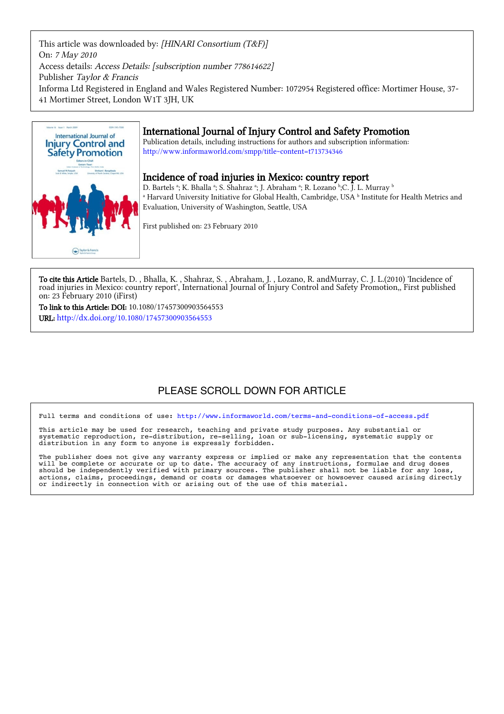This article was downloaded by: [HINARI Consortium (T&F)] On: 7 May 2010 Access details: Access Details: [subscription number 778614622] Publisher Taylor & Francis Informa Ltd Registered in England and Wales Registered Number: 1072954 Registered office: Mortimer House, 37-41 Mortimer Street, London W1T 3JH, UK



## International Journal of Injury Control and Safety Promotion

Publication details, including instructions for authors and subscription information: http://www.informaworld.com/smpp/title~content=t713734346

## Incidence of road injuries in Mexico: country report

D. Bartels ª; K. Bhalla ª; S. Shahraz ª; J. Abraham ª; R. Lozano ʰ;C. J. L. Murray ʰ a Harvard University Initiative for Global Health, Cambridge, USA b Institute for Health Metrics and  $^{\circ}$ Evaluation, University of Washington, Seattle, USA

First published on: 23 February 2010

To cite this Article Bartels, D., Bhalla, K., Shahraz, S., Abraham, J., Lozano, R. andMurray, C. J. L.(2010) 'Incidence of road injuries in Mexico: country report', International Journal of Injury Control and Safety Promotion,, First published on: 23 February 2010 (iFirst)

To link to this Article: DOI: 10.1080/17457300903564553 URL: http://dx.doi.org/10.1080/17457300903564553

# PLEASE SCROLL DOWN FOR ARTICLE

Full terms and conditions of use:<http://www.informaworld.com/terms-and-conditions-of-access.pdf>

This article may be used for research, teaching and private study purposes. Any substantial or systematic reproduction, re-distribution, re-selling, loan or sub-licensing, systematic supply or distribution in any form to anyone is expressly forbidden.

The publisher does not give any warranty express or implied or make any representation that the contents will be complete or accurate or up to date. The accuracy of any instructions, formulae and drug doses should be independently verified with primary sources. The publisher shall not be liable for any loss, actions, claims, proceedings, demand or costs or damages whatsoever or howsoever caused arising directly or indirectly in connection with or arising out of the use of this material.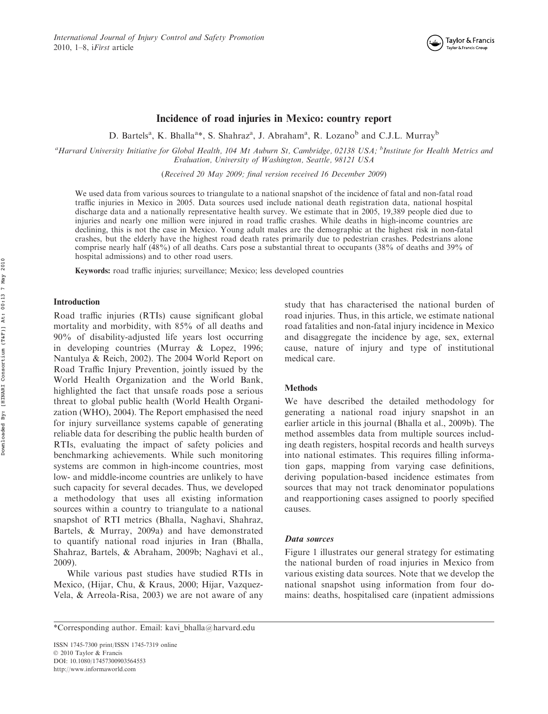

## Incidence of road injuries in Mexico: country report

D. Bartels<sup>a</sup>, K. Bhalla<sup>a\*</sup>, S. Shahraz<sup>a</sup>, J. Abraham<sup>a</sup>, R. Lozano<sup>b</sup> and C.J.L. Murray<sup>b</sup>

<sup>a</sup>Harvard University Initiative for Global Health, 104 Mt Auburn St, Cambridge, 02138 USA; <sup>b</sup>Institute for Health Metrics and Evaluation, University of Washington, Seattle, 98121 USA

(Received 20 May 2009; final version received 16 December 2009)

We used data from various sources to triangulate to a national snapshot of the incidence of fatal and non-fatal road traffic injuries in Mexico in 2005. Data sources used include national death registration data, national hospital discharge data and a nationally representative health survey. We estimate that in 2005, 19,389 people died due to injuries and nearly one million were injured in road traffic crashes. While deaths in high-income countries are declining, this is not the case in Mexico. Young adult males are the demographic at the highest risk in non-fatal crashes, but the elderly have the highest road death rates primarily due to pedestrian crashes. Pedestrians alone comprise nearly half (48%) of all deaths. Cars pose a substantial threat to occupants (38% of deaths and 39% of hospital admissions) and to other road users.

Keywords: road traffic injuries; surveillance; Mexico; less developed countries

#### Introduction

Road traffic injuries (RTIs) cause significant global mortality and morbidity, with 85% of all deaths and 90% of disability-adjusted life years lost occurring in developing countries (Murray & Lopez, 1996; Nantulya & Reich, 2002). The 2004 World Report on Road Traffic Injury Prevention, jointly issued by the World Health Organization and the World Bank, highlighted the fact that unsafe roads pose a serious threat to global public health (World Health Organization (WHO), 2004). The Report emphasised the need for injury surveillance systems capable of generating reliable data for describing the public health burden of RTIs, evaluating the impact of safety policies and benchmarking achievements. While such monitoring systems are common in high-income countries, most low- and middle-income countries are unlikely to have such capacity for several decades. Thus, we developed a methodology that uses all existing information sources within a country to triangulate to a national snapshot of RTI metrics (Bhalla, Naghavi, Shahraz, Bartels, & Murray, 2009a) and have demonstrated to quantify national road injuries in Iran (Bhalla, Shahraz, Bartels, & Abraham, 2009b; Naghavi et al., 2009).

While various past studies have studied RTIs in Mexico, (Hijar, Chu, & Kraus, 2000; Hijar, Vazquez-Vela, & Arreola-Risa, 2003) we are not aware of any

\*Corresponding author. Email: kavi\_bhalla@harvard.edu

ISSN 1745-7300 print/ISSN 1745-7319 online © 2010 Taylor & Francis DOI: 10.1080/17457300903564553 http://www.informaworld.com

study that has characterised the national burden of road injuries. Thus, in this article, we estimate national road fatalities and non-fatal injury incidence in Mexico and disaggregate the incidence by age, sex, external cause, nature of injury and type of institutional medical care.

#### **Methods**

We have described the detailed methodology for generating a national road injury snapshot in an earlier article in this journal (Bhalla et al., 2009b). The method assembles data from multiple sources including death registers, hospital records and health surveys into national estimates. This requires filling information gaps, mapping from varying case definitions, deriving population-based incidence estimates from sources that may not track denominator populations and reapportioning cases assigned to poorly specified causes.

#### Data sources

Figure 1 illustrates our general strategy for estimating the national burden of road injuries in Mexico from various existing data sources. Note that we develop the national snapshot using information from four domains: deaths, hospitalised care (inpatient admissions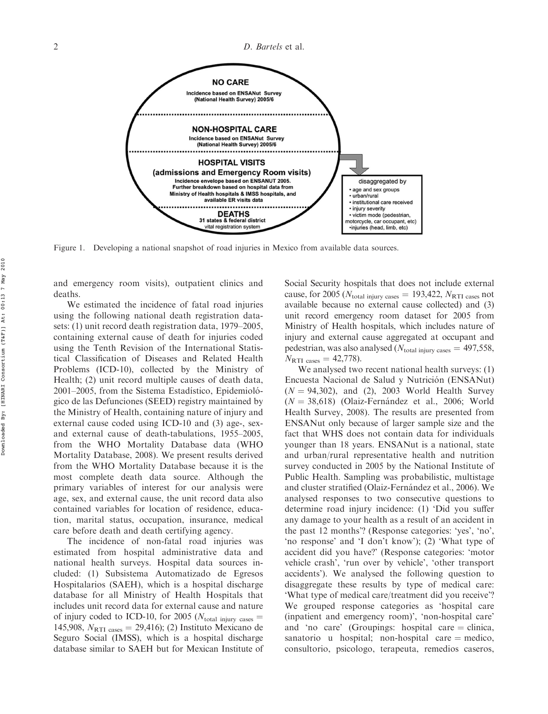

Figure 1. Developing a national snapshot of road injuries in Mexico from available data sources.

and emergency room visits), outpatient clinics and deaths.

We estimated the incidence of fatal road injuries using the following national death registration datasets: (1) unit record death registration data, 1979–2005, containing external cause of death for injuries coded using the Tenth Revision of the International Statistical Classification of Diseases and Related Health Problems (ICD-10), collected by the Ministry of Health; (2) unit record multiple causes of death data, 2001–2005, from the Sistema Estadístico, Epidemiológico de las Defunciones (SEED) registry maintained by the Ministry of Health, containing nature of injury and external cause coded using ICD-10 and (3) age-, sexand external cause of death-tabulations, 1955–2005, from the WHO Mortality Database data (WHO Mortality Database, 2008). We present results derived from the WHO Mortality Database because it is the most complete death data source. Although the primary variables of interest for our analysis were age, sex, and external cause, the unit record data also contained variables for location of residence, education, marital status, occupation, insurance, medical care before death and death certifying agency.

The incidence of non-fatal road injuries was estimated from hospital administrative data and national health surveys. Hospital data sources included: (1) Subsistema Automatizado de Egresos Hospitalarios (SAEH), which is a hospital discharge database for all Ministry of Health Hospitals that includes unit record data for external cause and nature of injury coded to ICD-10, for 2005 ( $N_{\text{total injury cases}} =$ 145,908,  $N_{\text{RTI cases}} = 29,416$ ; (2) Instituto Mexicano de Seguro Social (IMSS), which is a hospital discharge database similar to SAEH but for Mexican Institute of Social Security hospitals that does not include external cause, for 2005 ( $N_{\text{total injury cases}} = 193,422, N_{\text{RTI cases}}$  not available because no external cause collected) and (3) unit record emergency room dataset for 2005 from Ministry of Health hospitals, which includes nature of injury and external cause aggregated at occupant and pedestrian, was also analysed  $(N_{\text{total injury cases}} = 497,558,$  $N_{\text{RTI cases}} = 42,778$ .

We analysed two recent national health surveys: (1) Encuesta Nacional de Salud y Nutrición (ENSANut)  $(N = 94,302)$ , and  $(2)$ , 2003 World Health Survey  $(N = 38,618)$  (Olaiz-Fernández et al., 2006; World Health Survey, 2008). The results are presented from ENSANut only because of larger sample size and the fact that WHS does not contain data for individuals younger than 18 years. ENSANut is a national, state and urban/rural representative health and nutrition survey conducted in 2005 by the National Institute of Public Health. Sampling was probabilistic, multistage and cluster stratified (Olaiz-Fernández et al., 2006). We analysed responses to two consecutive questions to determine road injury incidence: (1) 'Did you suffer any damage to your health as a result of an accident in the past 12 months'? (Response categories: 'yes', 'no', 'no response' and 'I don't know'); (2) 'What type of accident did you have?' (Response categories: 'motor vehicle crash', 'run over by vehicle', 'other transport accidents'). We analysed the following question to disaggregate these results by type of medical care: 'What type of medical care/treatment did you receive'? We grouped response categories as 'hospital care (inpatient and emergency room)', 'non-hospital care' and 'no care' (Groupings: hospital care  $=$  clinica, sanatorio u hospital; non-hospital care  $=$  medico, consultorio, psicologo, terapeuta, remedios caseros,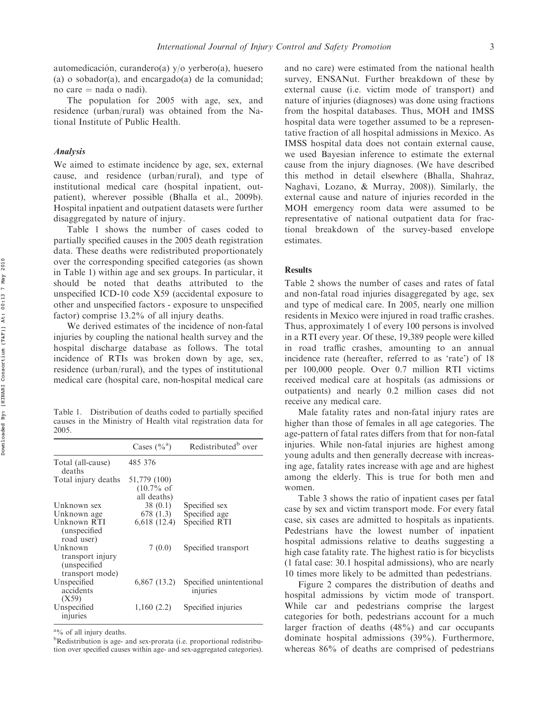automedicación, curandero(a) y/o yerbero(a), huesero (a) o sobador(a), and encargado(a) de la comunidad; no care  $=$  nada o nadi).

The population for 2005 with age, sex, and residence (urban/rural) was obtained from the National Institute of Public Health.

#### Analysis

We aimed to estimate incidence by age, sex, external cause, and residence (urban/rural), and type of institutional medical care (hospital inpatient, outpatient), wherever possible (Bhalla et al., 2009b). Hospital inpatient and outpatient datasets were further disaggregated by nature of injury.

Table 1 shows the number of cases coded to partially specified causes in the 2005 death registration data. These deaths were redistributed proportionately over the corresponding specified categories (as shown in Table 1) within age and sex groups. In particular, it should be noted that deaths attributed to the unspecified ICD-10 code X59 (accidental exposure to other and unspecified factors - exposure to unspecified factor) comprise 13.2% of all injury deaths.

We derived estimates of the incidence of non-fatal injuries by coupling the national health survey and the hospital discharge database as follows. The total incidence of RTIs was broken down by age, sex, residence (urban/rural), and the types of institutional medical care (hospital care, non-hospital medical care

Table 1. Distribution of deaths coded to partially specified causes in the Ministry of Health vital registration data for 2005.

|                                                                 | Cases $(\%^a)$                                       | Redistributed <sup>b</sup> over     |
|-----------------------------------------------------------------|------------------------------------------------------|-------------------------------------|
| Total (all-cause)<br>deaths                                     | 485 376                                              |                                     |
| Total injury deaths                                             | 51,779 (100)<br>$(10.7\% \text{ of }$<br>all deaths) |                                     |
| Unknown sex                                                     | 38(0.1)                                              | Specified sex                       |
| Unknown age                                                     | 678 (1.3)                                            | Specified age                       |
| Unknown RTI<br>(unspecified)<br>road user)                      | 6,618(12.4)                                          | Specified RTI                       |
| Unknown<br>transport injury<br>(unspecified)<br>transport mode) | 7(0.0)                                               | Specified transport                 |
| Unspecified<br>accidents<br>(X59)                               | $6,867$ (13.2)                                       | Specified unintentional<br>injuries |
| Unspecified<br>injuries                                         | 1,160(2.2)                                           | Specified injuries                  |

<sup>a</sup>% of all injury deaths.

<sup>b</sup>Redistribution is age- and sex-prorata (i.e. proportional redistribution over specified causes within age- and sex-aggregated categories). and no care) were estimated from the national health survey, ENSANut. Further breakdown of these by external cause (i.e. victim mode of transport) and nature of injuries (diagnoses) was done using fractions from the hospital databases. Thus, MOH and IMSS hospital data were together assumed to be a representative fraction of all hospital admissions in Mexico. As IMSS hospital data does not contain external cause, we used Bayesian inference to estimate the external cause from the injury diagnoses. (We have described this method in detail elsewhere (Bhalla, Shahraz, Naghavi, Lozano, & Murray, 2008)). Similarly, the external cause and nature of injuries recorded in the MOH emergency room data were assumed to be representative of national outpatient data for fractional breakdown of the survey-based envelope estimates.

## **Results**

Table 2 shows the number of cases and rates of fatal and non-fatal road injuries disaggregated by age, sex and type of medical care. In 2005, nearly one million residents in Mexico were injured in road traffic crashes. Thus, approximately 1 of every 100 persons is involved in a RTI every year. Of these, 19,389 people were killed in road traffic crashes, amounting to an annual incidence rate (hereafter, referred to as 'rate') of 18 per 100,000 people. Over 0.7 million RTI victims received medical care at hospitals (as admissions or outpatients) and nearly 0.2 million cases did not receive any medical care.

Male fatality rates and non-fatal injury rates are higher than those of females in all age categories. The age-pattern of fatal rates differs from that for non-fatal injuries. While non-fatal injuries are highest among young adults and then generally decrease with increasing age, fatality rates increase with age and are highest among the elderly. This is true for both men and women.

Table 3 shows the ratio of inpatient cases per fatal case by sex and victim transport mode. For every fatal case, six cases are admitted to hospitals as inpatients. Pedestrians have the lowest number of inpatient hospital admissions relative to deaths suggesting a high case fatality rate. The highest ratio is for bicyclists (1 fatal case: 30.1 hospital admissions), who are nearly 10 times more likely to be admitted than pedestrians.

Figure 2 compares the distribution of deaths and hospital admissions by victim mode of transport. While car and pedestrians comprise the largest categories for both, pedestrians account for a much larger fraction of deaths (48%) and car occupants dominate hospital admissions (39%). Furthermore, whereas 86% of deaths are comprised of pedestrians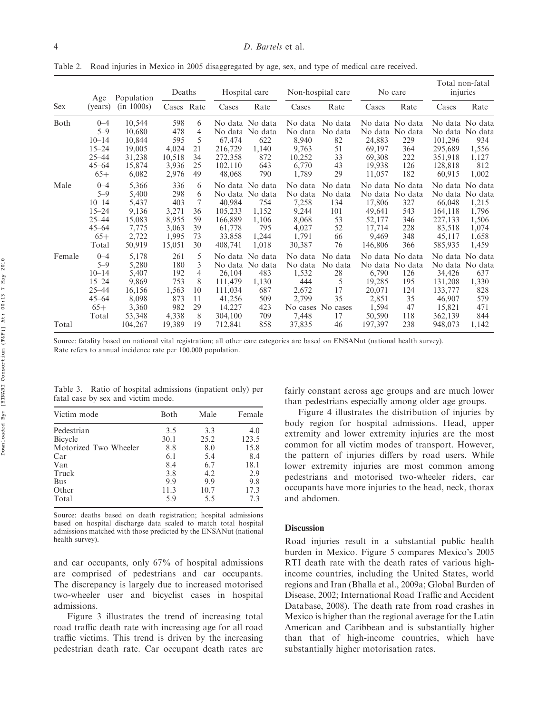Table 2. Road injuries in Mexico in 2005 disaggregated by age, sex, and type of medical care received.

| <b>Sex</b> | Age<br>(years)                                                                           | Population<br>(in 1000s)                                               | Deaths                                                          |                                           | Hospital care                                               |                                                                                      | Non-hospital care                                                         |                                                                      | No care                                                             |                                                                            | Total non-fatal<br>injuries                                            |                                                                                  |
|------------|------------------------------------------------------------------------------------------|------------------------------------------------------------------------|-----------------------------------------------------------------|-------------------------------------------|-------------------------------------------------------------|--------------------------------------------------------------------------------------|---------------------------------------------------------------------------|----------------------------------------------------------------------|---------------------------------------------------------------------|----------------------------------------------------------------------------|------------------------------------------------------------------------|----------------------------------------------------------------------------------|
|            |                                                                                          |                                                                        | Cases Rate                                                      |                                           | Cases                                                       | Rate                                                                                 | Cases                                                                     | Rate                                                                 | Cases                                                               | Rate                                                                       | Cases                                                                  | Rate                                                                             |
| Both       | $0 - 4$<br>$5 - 9$<br>$10 - 14$<br>$15 - 24$<br>$25 - 44$<br>$45 - 64$<br>$65+$          | 10,544<br>10,680<br>10,844<br>19,005<br>31,238<br>15,874<br>6,082      | 598<br>478<br>595<br>4,024<br>10,518<br>3,936<br>2,976          | 6<br>4<br>5<br>21<br>34<br>25<br>49       | 67,474<br>216,729<br>272,358<br>102.110<br>48,068           | No data No data<br>No data No data<br>622<br>1,140<br>872<br>643<br>790              | No data<br>No data<br>8,940<br>9,763<br>10,252<br>6,770<br>1,789          | No data<br>No data<br>82<br>51<br>33<br>43<br>29                     | No data<br>24,883<br>69,197<br>69,308<br>19,938<br>11,057           | No data No data<br>No data<br>229<br>364<br>222<br>126<br>182              | 101,296<br>295,689<br>351,918<br>128,818<br>60,915                     | No data No data<br>No data No data<br>934<br>1,556<br>1,127<br>812<br>1,002      |
| Male       | $0 - 4$<br>$5 - 9$<br>$10 - 14$<br>$15 - 24$<br>$25 - 44$<br>$45 - 64$<br>$65+$<br>Total | 5,366<br>5,400<br>5,437<br>9,136<br>15,083<br>7,775<br>2,722<br>50,919 | 336<br>298<br>403<br>3,271<br>8,955<br>3,063<br>1,995<br>15,051 | 6<br>6<br>7<br>36<br>59<br>39<br>73<br>30 | 40.984<br>105.233<br>166,889<br>61,778<br>33,858<br>408,741 | No data No data<br>No data No data<br>754<br>1,152<br>1,106<br>795<br>1,244<br>1,018 | No data<br>No data<br>7,258<br>9,244<br>8,068<br>4,027<br>1,791<br>30,387 | No data<br>No data<br>134<br>101<br>53<br>52<br>66<br>76             | No data<br>17.806<br>49,641<br>52,177<br>17,714<br>9,469<br>146,806 | No data No data<br>No data<br>327<br>543<br>346<br>228<br>348<br>366       | No data<br>66,048<br>164,118<br>227,133<br>83,518<br>45,117<br>585,935 | No data No data<br>No data<br>1,215<br>1,796<br>1,506<br>1,074<br>1,658<br>1,459 |
| Female     | $0 - 4$<br>$5 - 9$<br>$10 - 14$<br>$15 - 24$<br>$25 - 44$<br>$45 - 64$<br>$65+$<br>Total | 5,178<br>5,280<br>5,407<br>9,869<br>16,156<br>8,098<br>3,360<br>53,348 | 261<br>180<br>192<br>753<br>1,563<br>873<br>982<br>4,338        | 5<br>3<br>4<br>8<br>10<br>11<br>29<br>8   | 26,104<br>111,479<br>111.034<br>41,256<br>14,227<br>304,100 | No data No data<br>No data No data<br>483<br>1,130<br>687<br>509<br>423<br>709       | No data<br>No data<br>1,532<br>444<br>2,672<br>2,799<br>7,448             | No data<br>No data<br>28<br>5<br>17<br>35<br>No cases No cases<br>17 | 6,790<br>19,285<br>20,071<br>2,851<br>1,594<br>50,590               | No data No data<br>No data No data<br>126<br>195<br>124<br>35<br>47<br>118 | 34,426<br>131,208<br>133,777<br>46,907<br>15,821<br>362,139            | No data No data<br>No data No data<br>637<br>1,330<br>828<br>579<br>471<br>844   |
| Total      |                                                                                          | 104,267                                                                | 19,389                                                          | 19                                        | 712,841                                                     | 858                                                                                  | 37,835                                                                    | 46                                                                   | 197,397                                                             | 238                                                                        | 948,073                                                                | 1,142                                                                            |

Source: fatality based on national vital registration; all other care categories are based on ENSANut (national health survey). Rate refers to annual incidence rate per 100,000 population.

Table 3. Ratio of hospital admissions (inpatient only) per fatal case by sex and victim mode.

| Victim mode           | Both | Male | Female |
|-----------------------|------|------|--------|
| Pedestrian            | 3.5  | 3.3  | 4.0    |
| Bicycle               | 30.1 | 25.2 | 123.5  |
| Motorized Two Wheeler | 8.8  | 8.0  | 15.8   |
| Car                   | 6.1  | 5.4  | 8.4    |
| Van                   | 8.4  | 6.7  | 18.1   |
| Truck                 | 3.8  | 4.2  | 2.9    |
| <b>Bus</b>            | 9.9  | 9.9  | 9.8    |
| Other                 | 11.3 | 10.7 | 17.3   |
| Total                 | 5.9  | 5.5  | 7.3    |

Source: deaths based on death registration; hospital admissions based on hospital discharge data scaled to match total hospital admissions matched with those predicted by the ENSANut (national health survey).

and car occupants, only 67% of hospital admissions are comprised of pedestrians and car occupants. The discrepancy is largely due to increased motorised two-wheeler user and bicyclist cases in hospital admissions.

Figure 3 illustrates the trend of increasing total road traffic death rate with increasing age for all road traffic victims. This trend is driven by the increasing pedestrian death rate. Car occupant death rates are

fairly constant across age groups and are much lower than pedestrians especially among older age groups.

Figure 4 illustrates the distribution of injuries by body region for hospital admissions. Head, upper extremity and lower extremity injuries are the most common for all victim modes of transport. However, the pattern of injuries differs by road users. While lower extremity injuries are most common among pedestrians and motorised two-wheeler riders, car occupants have more injuries to the head, neck, thorax and abdomen.

### **Discussion**

Road injuries result in a substantial public health burden in Mexico. Figure 5 compares Mexico's 2005 RTI death rate with the death rates of various highincome countries, including the United States, world regions and Iran (Bhalla et al., 2009a; Global Burden of Disease, 2002; International Road Traffic and Accident Database, 2008). The death rate from road crashes in Mexico is higher than the regional average for the Latin American and Caribbean and is substantially higher than that of high-income countries, which have substantially higher motorisation rates.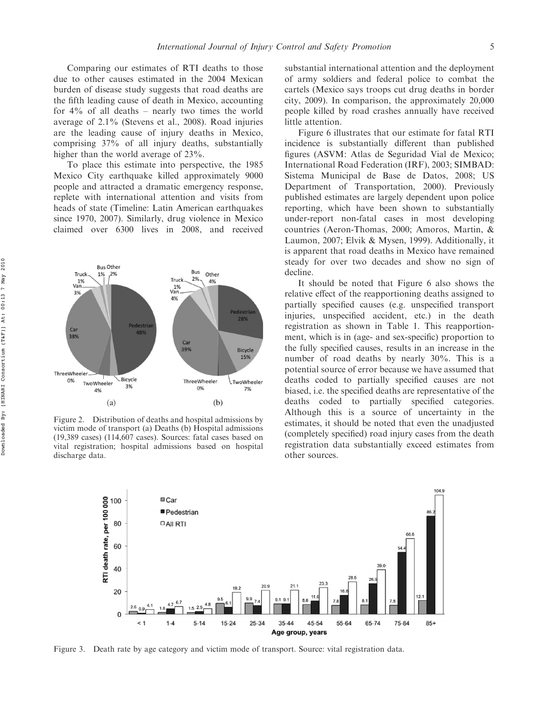Comparing our estimates of RTI deaths to those due to other causes estimated in the 2004 Mexican burden of disease study suggests that road deaths are the fifth leading cause of death in Mexico, accounting for  $4\%$  of all deaths – nearly two times the world average of 2.1% (Stevens et al., 2008). Road injuries are the leading cause of injury deaths in Mexico, comprising 37% of all injury deaths, substantially higher than the world average of 23%.

To place this estimate into perspective, the 1985 Mexico City earthquake killed approximately 9000 people and attracted a dramatic emergency response, replete with international attention and visits from heads of state (Timeline: Latin American earthquakes since 1970, 2007). Similarly, drug violence in Mexico claimed over 6300 lives in 2008, and received



Figure 2. Distribution of deaths and hospital admissions by victim mode of transport (a) Deaths (b) Hospital admissions (19,389 cases) (114,607 cases). Sources: fatal cases based on vital registration; hospital admissions based on hospital discharge data.

substantial international attention and the deployment of army soldiers and federal police to combat the cartels (Mexico says troops cut drug deaths in border city, 2009). In comparison, the approximately 20,000 people killed by road crashes annually have received little attention.

Figure 6 illustrates that our estimate for fatal RTI incidence is substantially different than published figures (ASVM: Atlas de Seguridad Vial de Mexico; International Road Federation (IRF), 2003; SIMBAD: Sistema Municipal de Base de Datos, 2008; US Department of Transportation, 2000). Previously published estimates are largely dependent upon police reporting, which have been shown to substantially under-report non-fatal cases in most developing countries (Aeron-Thomas, 2000; Amoros, Martin, & Laumon, 2007; Elvik & Mysen, 1999). Additionally, it is apparent that road deaths in Mexico have remained steady for over two decades and show no sign of decline.

It should be noted that Figure 6 also shows the relative effect of the reapportioning deaths assigned to partially specified causes (e.g. unspecified transport injuries, unspecified accident, etc.) in the death registration as shown in Table 1. This reapportionment, which is in (age- and sex-specific) proportion to the fully specified causes, results in an increase in the number of road deaths by nearly 30%. This is a potential source of error because we have assumed that deaths coded to partially specified causes are not biased, i.e. the specified deaths are representative of the deaths coded to partially specified categories. Although this is a source of uncertainty in the estimates, it should be noted that even the unadjusted (completely specified) road injury cases from the death registration data substantially exceed estimates from other sources.



Figure 3. Death rate by age category and victim mode of transport. Source: vital registration data.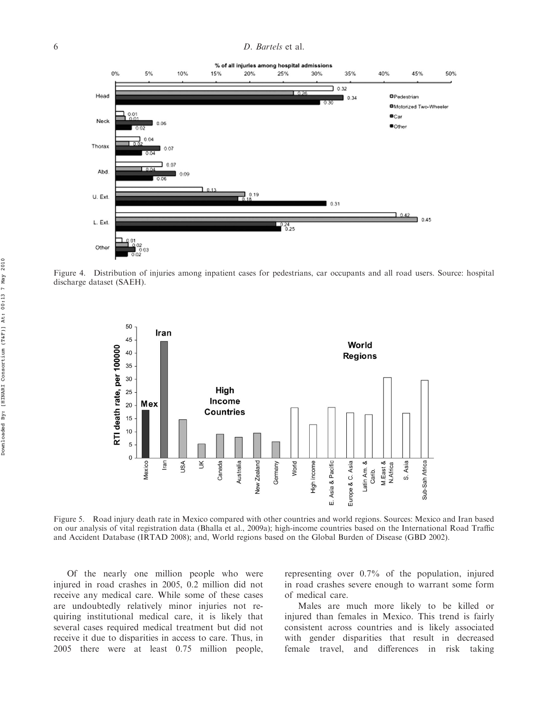#### 6 D. Bartels et al.



Figure 4. Distribution of injuries among inpatient cases for pedestrians, car occupants and all road users. Source: hospital discharge dataset (SAEH).



Figure 5. Road injury death rate in Mexico compared with other countries and world regions. Sources: Mexico and Iran based on our analysis of vital registration data (Bhalla et al., 2009a); high-income countries based on the International Road Traffic and Accident Database (IRTAD 2008); and, World regions based on the Global Burden of Disease (GBD 2002).

Of the nearly one million people who were injured in road crashes in 2005, 0.2 million did not receive any medical care. While some of these cases are undoubtedly relatively minor injuries not requiring institutional medical care, it is likely that several cases required medical treatment but did not receive it due to disparities in access to care. Thus, in 2005 there were at least 0.75 million people,

representing over 0.7% of the population, injured in road crashes severe enough to warrant some form of medical care.

Males are much more likely to be killed or injured than females in Mexico. This trend is fairly consistent across countries and is likely associated with gender disparities that result in decreased female travel, and differences in risk taking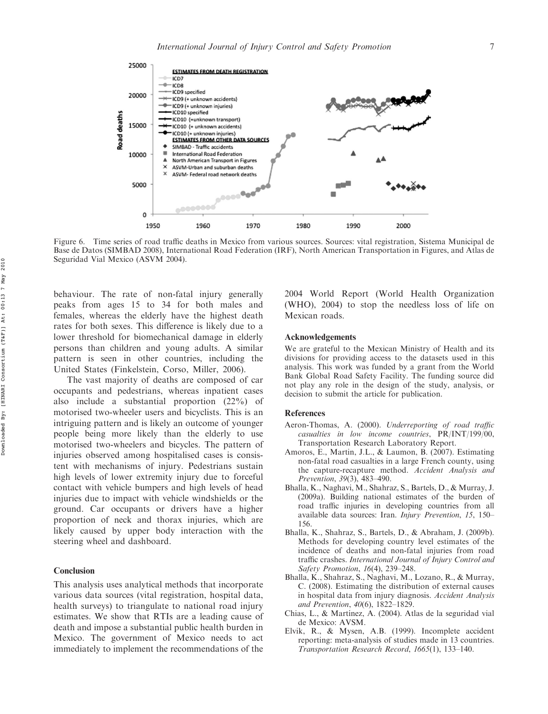

Figure 6. Time series of road traffic deaths in Mexico from various sources. Sources: vital registration, Sistema Municipal de Base de Datos (SIMBAD 2008), International Road Federation (IRF), North American Transportation in Figures, and Atlas de Seguridad Vial Mexico (ASVM 2004).

behaviour. The rate of non-fatal injury generally peaks from ages 15 to 34 for both males and females, whereas the elderly have the highest death rates for both sexes. This difference is likely due to a lower threshold for biomechanical damage in elderly persons than children and young adults. A similar pattern is seen in other countries, including the United States (Finkelstein, Corso, Miller, 2006).

The vast majority of deaths are composed of car occupants and pedestrians, whereas inpatient cases also include a substantial proportion (22%) of motorised two-wheeler users and bicyclists. This is an intriguing pattern and is likely an outcome of younger people being more likely than the elderly to use motorised two-wheelers and bicycles. The pattern of injuries observed among hospitalised cases is consistent with mechanisms of injury. Pedestrians sustain high levels of lower extremity injury due to forceful contact with vehicle bumpers and high levels of head injuries due to impact with vehicle windshields or the ground. Car occupants or drivers have a higher proportion of neck and thorax injuries, which are likely caused by upper body interaction with the steering wheel and dashboard.

#### Conclusion

This analysis uses analytical methods that incorporate various data sources (vital registration, hospital data, health surveys) to triangulate to national road injury estimates. We show that RTIs are a leading cause of death and impose a substantial public health burden in Mexico. The government of Mexico needs to act immediately to implement the recommendations of the

2004 World Report (World Health Organization (WHO), 2004) to stop the needless loss of life on Mexican roads.

#### Acknowledgements

We are grateful to the Mexican Ministry of Health and its divisions for providing access to the datasets used in this analysis. This work was funded by a grant from the World Bank Global Road Safety Facility. The funding source did not play any role in the design of the study, analysis, or decision to submit the article for publication.

#### References

- Aeron-Thomas, A. (2000). Underreporting of road traffic casualties in low income countries, PR/INT/199/00, Transportation Research Laboratory Report.
- Amoros, E., Martin, J.L., & Laumon, B. (2007). Estimating non-fatal road casualties in a large French county, using the capture-recapture method. Accident Analysis and Prevention, 39(3), 483–490.
- Bhalla, K., Naghavi, M., Shahraz, S., Bartels, D., & Murray, J. (2009a). Building national estimates of the burden of road traffic injuries in developing countries from all available data sources: Iran. Injury Prevention, 15, 150– 156.
- Bhalla, K., Shahraz, S., Bartels, D., & Abraham, J. (2009b). Methods for developing country level estimates of the incidence of deaths and non-fatal injuries from road traffic crashes. International Journal of Injury Control and Safety Promotion, 16(4), 239–248.
- Bhalla, K., Shahraz, S., Naghavi, M., Lozano, R., & Murray, C. (2008). Estimating the distribution of external causes in hospital data from injury diagnosis. Accident Analysis and Prevention, 40(6), 1822–1829.
- Chias, L., & Martínez, A. (2004). Atlas de la seguridad vial de Mexico: AVSM.
- Elvik, R., & Mysen, A.B. (1999). Incomplete accident reporting: meta-analysis of studies made in 13 countries. Transportation Research Record, 1665(1), 133–140.